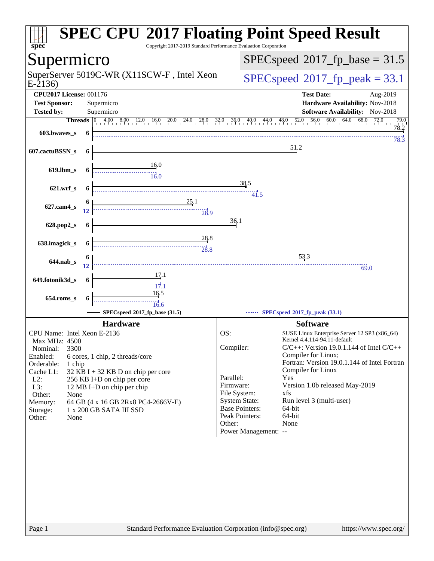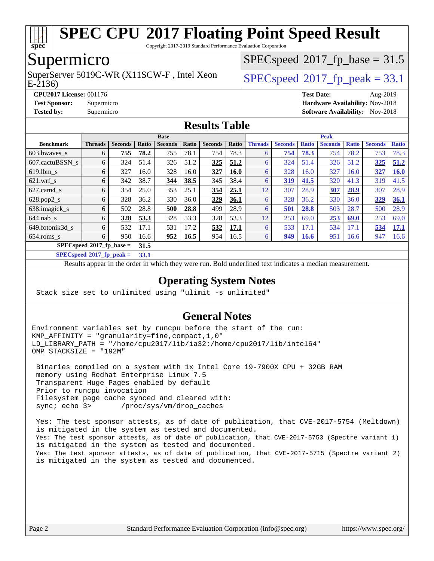

Copyright 2017-2019 Standard Performance Evaluation Corporation

## Supermicro

E-2136) SuperServer 5019C-WR (X11SCW-F, Intel Xeon  $SPEC speed@2017_fp\_peak = 33.1$ 

 $SPECspeed^{\circ}2017\_fp\_base = 31.5$  $SPECspeed^{\circ}2017\_fp\_base = 31.5$ 

**[CPU2017 License:](http://www.spec.org/auto/cpu2017/Docs/result-fields.html#CPU2017License)** 001176 **[Test Date:](http://www.spec.org/auto/cpu2017/Docs/result-fields.html#TestDate)** Aug-2019

**[Test Sponsor:](http://www.spec.org/auto/cpu2017/Docs/result-fields.html#TestSponsor)** Supermicro **[Hardware Availability:](http://www.spec.org/auto/cpu2017/Docs/result-fields.html#HardwareAvailability)** Nov-2018

**[Tested by:](http://www.spec.org/auto/cpu2017/Docs/result-fields.html#Testedby)** Supermicro [Software Availability:](http://www.spec.org/auto/cpu2017/Docs/result-fields.html#SoftwareAvailability) Nov-2018

#### **[Results Table](http://www.spec.org/auto/cpu2017/Docs/result-fields.html#ResultsTable)**

|                                   | <b>Base</b>    |                |       |                |       |                |             | <b>Peak</b>    |                |              |                |              |                |              |
|-----------------------------------|----------------|----------------|-------|----------------|-------|----------------|-------------|----------------|----------------|--------------|----------------|--------------|----------------|--------------|
| <b>Benchmark</b>                  | <b>Threads</b> | <b>Seconds</b> | Ratio | <b>Seconds</b> | Ratio | <b>Seconds</b> | Ratio       | <b>Threads</b> | <b>Seconds</b> | <b>Ratio</b> | <b>Seconds</b> | <b>Ratio</b> | <b>Seconds</b> | <b>Ratio</b> |
| 603.bwaves_s                      | 6              | 755            | 78.2  | 755            | 78.1  | 754            | 78.3        | 6              | 754            | 78.3         | 754            | 78.2         | 753            | 78.3         |
| 607.cactuBSSN s                   | 6              | 324            | 51.4  | 326            | 51.2  | 325            | 51.2        | 6              | 324            | 51.4         | 326            | 51.2         | 325            | 51.2         |
| $619$ .lbm s                      | 6              | 327            | 16.0  | 328            | 16.0  | 327            | <b>16.0</b> | 6              | 328            | 16.0         | 327            | 16.0         | 327            | <b>16.0</b>  |
| $621$ .wrf s                      | 6              | 342            | 38.7  | 344            | 38.5  | 345            | 38.4        | 6              | 319            | 41.5         | 320            | 41.3         | 319            | 41.5         |
| $627$ .cam4 s                     | 6              | 354            | 25.0  | 353            | 25.1  | 354            | 25.1        | 12             | 307            | 28.9         | 307            | 28.9         | 307            | 28.9         |
| $628.pop2_s$                      | 6              | 328            | 36.2  | 330            | 36.0  | 329            | 36.1        | 6              | 328            | 36.2         | 330            | 36.0         | 329            | 36.1         |
| 638.imagick_s                     | 6              | 502            | 28.8  | 500            | 28.8  | 499            | 28.9        | 6              | 501            | 28.8         | 503            | 28.7         | 500            | 28.9         |
| $644$ .nab s                      | 6              | 328            | 53.3  | 328            | 53.3  | 328            | 53.3        | 12             | 253            | 69.0         | 253            | 69.0         | 253            | 69.0         |
| 649.fotonik3d_s                   | 6              | 532            | 17.1  | 531            | 17.2  | 532            | 17.1        | 6              | 533            | 17.1         | 534            | 17.1         | 534            | 17.1         |
| $654$ .roms s                     | 6              | 950            | 16.6  | 952            | 16.5  | 954            | 16.5        | 6              | 949            | <b>16.6</b>  | 951            | 16.6         | 947            | 16.6         |
| $SPECspeed^{\circ}2017$ fp base = |                |                |       |                |       |                |             |                |                |              |                |              |                |              |

**[SPECspeed](http://www.spec.org/auto/cpu2017/Docs/result-fields.html#SPECspeed2017fppeak)[2017\\_fp\\_peak =](http://www.spec.org/auto/cpu2017/Docs/result-fields.html#SPECspeed2017fppeak) 33.1**

Results appear in the [order in which they were run.](http://www.spec.org/auto/cpu2017/Docs/result-fields.html#RunOrder) Bold underlined text [indicates a median measurement.](http://www.spec.org/auto/cpu2017/Docs/result-fields.html#Median)

#### **[Operating System Notes](http://www.spec.org/auto/cpu2017/Docs/result-fields.html#OperatingSystemNotes)**

Stack size set to unlimited using "ulimit -s unlimited"

#### **[General Notes](http://www.spec.org/auto/cpu2017/Docs/result-fields.html#GeneralNotes)**

Environment variables set by runcpu before the start of the run: KMP\_AFFINITY = "granularity=fine,compact,1,0" LD\_LIBRARY\_PATH = "/home/cpu2017/lib/ia32:/home/cpu2017/lib/intel64" OMP\_STACKSIZE = "192M"

 Binaries compiled on a system with 1x Intel Core i9-7900X CPU + 32GB RAM memory using Redhat Enterprise Linux 7.5 Transparent Huge Pages enabled by default Prior to runcpu invocation Filesystem page cache synced and cleared with: sync; echo 3> /proc/sys/vm/drop\_caches

 Yes: The test sponsor attests, as of date of publication, that CVE-2017-5754 (Meltdown) is mitigated in the system as tested and documented. Yes: The test sponsor attests, as of date of publication, that CVE-2017-5753 (Spectre variant 1) is mitigated in the system as tested and documented. Yes: The test sponsor attests, as of date of publication, that CVE-2017-5715 (Spectre variant 2) is mitigated in the system as tested and documented.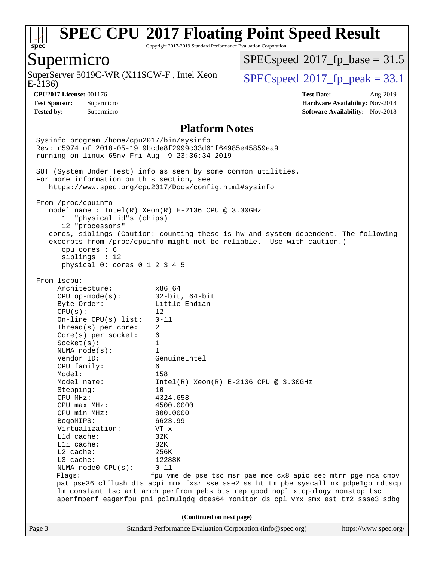

Copyright 2017-2019 Standard Performance Evaluation Corporation

### Supermicro

E-2136) SuperServer 5019C-WR (X11SCW-F, Intel Xeon  $\big|$  [SPECspeed](http://www.spec.org/auto/cpu2017/Docs/result-fields.html#SPECspeed2017fppeak)®[2017\\_fp\\_peak = 3](http://www.spec.org/auto/cpu2017/Docs/result-fields.html#SPECspeed2017fppeak)3.1

 $SPECspeed^{\circ}2017\_fp\_base = 31.5$  $SPECspeed^{\circ}2017\_fp\_base = 31.5$ 

**[Tested by:](http://www.spec.org/auto/cpu2017/Docs/result-fields.html#Testedby)** Supermicro **Supermicro [Software Availability:](http://www.spec.org/auto/cpu2017/Docs/result-fields.html#SoftwareAvailability)** Nov-2018

**[CPU2017 License:](http://www.spec.org/auto/cpu2017/Docs/result-fields.html#CPU2017License)** 001176 **[Test Date:](http://www.spec.org/auto/cpu2017/Docs/result-fields.html#TestDate)** Aug-2019 **[Test Sponsor:](http://www.spec.org/auto/cpu2017/Docs/result-fields.html#TestSponsor)** Supermicro **[Hardware Availability:](http://www.spec.org/auto/cpu2017/Docs/result-fields.html#HardwareAvailability)** Nov-2018

#### **[Platform Notes](http://www.spec.org/auto/cpu2017/Docs/result-fields.html#PlatformNotes)**

Page 3 Standard Performance Evaluation Corporation [\(info@spec.org\)](mailto:info@spec.org) <https://www.spec.org/> Sysinfo program /home/cpu2017/bin/sysinfo Rev: r5974 of 2018-05-19 9bcde8f2999c33d61f64985e45859ea9 running on linux-65nv Fri Aug 9 23:36:34 2019 SUT (System Under Test) info as seen by some common utilities. For more information on this section, see <https://www.spec.org/cpu2017/Docs/config.html#sysinfo> From /proc/cpuinfo model name : Intel(R) Xeon(R) E-2136 CPU @ 3.30GHz 1 "physical id"s (chips) 12 "processors" cores, siblings (Caution: counting these is hw and system dependent. The following excerpts from /proc/cpuinfo might not be reliable. Use with caution.) cpu cores : 6 siblings : 12 physical 0: cores 0 1 2 3 4 5 From lscpu: Architecture: x86\_64 CPU op-mode(s): 32-bit, 64-bit Byte Order: Little Endian  $CPU(s):$  12 On-line CPU(s) list: 0-11 Thread(s) per core: 2 Core(s) per socket: 6 Socket(s): 1 NUMA node(s): 1 Vendor ID: GenuineIntel CPU family: 6 Model: 158<br>Model name: 1158  $Intel(R)$  Xeon(R) E-2136 CPU @ 3.30GHz Stepping: 10 CPU MHz: 4324.658 CPU max MHz: 4500.0000 CPU min MHz: 800.0000 BogoMIPS: 6623.99 Virtualization: VT-x L1d cache: 32K L1i cache: 32K L2 cache: 256K L3 cache: 12288K NUMA node0 CPU(s): 0-11 Flags: fpu vme de pse tsc msr pae mce cx8 apic sep mtrr pge mca cmov pat pse36 clflush dts acpi mmx fxsr sse sse2 ss ht tm pbe syscall nx pdpe1gb rdtscp lm constant\_tsc art arch\_perfmon pebs bts rep\_good nopl xtopology nonstop\_tsc aperfmperf eagerfpu pni pclmulqdq dtes64 monitor ds\_cpl vmx smx est tm2 ssse3 sdbg **(Continued on next page)**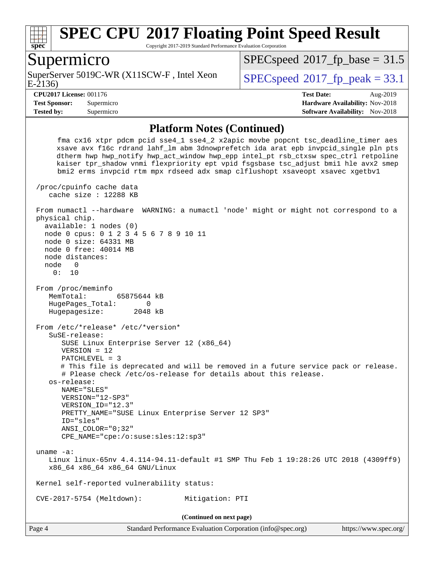

Copyright 2017-2019 Standard Performance Evaluation Corporation

#### Supermicro

E-2136) SuperServer 5019C-WR (X11SCW-F, Intel Xeon  $SPEC speed@2017_fp\_peak = 33.1$ 

 $SPECspeed^{\circ}2017\_fp\_base = 31.5$  $SPECspeed^{\circ}2017\_fp\_base = 31.5$ 

**[Tested by:](http://www.spec.org/auto/cpu2017/Docs/result-fields.html#Testedby)** Supermicro **Supermicro [Software Availability:](http://www.spec.org/auto/cpu2017/Docs/result-fields.html#SoftwareAvailability)** Nov-2018

**[CPU2017 License:](http://www.spec.org/auto/cpu2017/Docs/result-fields.html#CPU2017License)** 001176 **[Test Date:](http://www.spec.org/auto/cpu2017/Docs/result-fields.html#TestDate)** Aug-2019 **[Test Sponsor:](http://www.spec.org/auto/cpu2017/Docs/result-fields.html#TestSponsor)** Supermicro **[Hardware Availability:](http://www.spec.org/auto/cpu2017/Docs/result-fields.html#HardwareAvailability)** Nov-2018

#### **[Platform Notes \(Continued\)](http://www.spec.org/auto/cpu2017/Docs/result-fields.html#PlatformNotes)**

 fma cx16 xtpr pdcm pcid sse4\_1 sse4\_2 x2apic movbe popcnt tsc\_deadline\_timer aes xsave avx f16c rdrand lahf\_lm abm 3dnowprefetch ida arat epb invpcid\_single pln pts dtherm hwp hwp\_notify hwp\_act\_window hwp\_epp intel\_pt rsb\_ctxsw spec\_ctrl retpoline kaiser tpr\_shadow vnmi flexpriority ept vpid fsgsbase tsc\_adjust bmi1 hle avx2 smep bmi2 erms invpcid rtm mpx rdseed adx smap clflushopt xsaveopt xsavec xgetbv1 /proc/cpuinfo cache data cache size : 12288 KB From numactl --hardware WARNING: a numactl 'node' might or might not correspond to a physical chip. available: 1 nodes (0) node 0 cpus: 0 1 2 3 4 5 6 7 8 9 10 11 node 0 size: 64331 MB node 0 free: 40014 MB node distances: node 0 0: 10 From /proc/meminfo MemTotal: 65875644 kB HugePages\_Total: 0 Hugepagesize: 2048 kB From /etc/\*release\* /etc/\*version\* SuSE-release: SUSE Linux Enterprise Server 12 (x86\_64) VERSION = 12 PATCHLEVEL = 3 # This file is deprecated and will be removed in a future service pack or release. # Please check /etc/os-release for details about this release. os-release: NAME="SLES" VERSION="12-SP3" VERSION\_ID="12.3" PRETTY\_NAME="SUSE Linux Enterprise Server 12 SP3" ID="sles" ANSI\_COLOR="0;32" CPE\_NAME="cpe:/o:suse:sles:12:sp3" uname -a: Linux linux-65nv 4.4.114-94.11-default #1 SMP Thu Feb 1 19:28:26 UTC 2018 (4309ff9) x86\_64 x86\_64 x86\_64 GNU/Linux Kernel self-reported vulnerability status: CVE-2017-5754 (Meltdown): Mitigation: PTI **(Continued on next page)**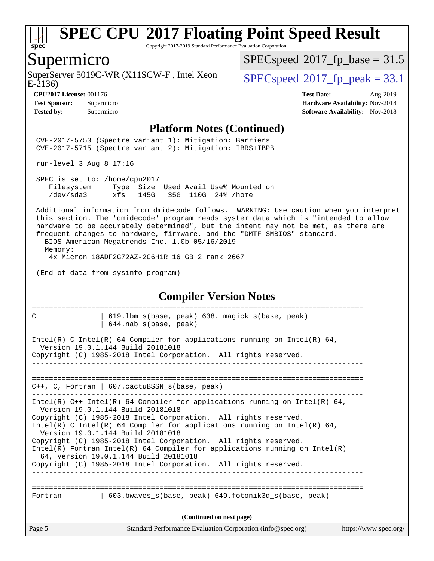

Copyright 2017-2019 Standard Performance Evaluation Corporation

### Supermicro

SuperServer 5019C-WR (X11SCW-F, Intel Xeon E-2136)

 $SPECspeed*2017_fp\_base = 31.5$  $SPECspeed*2017_fp\_base = 31.5$ 

 $SPECspeed*2017_f p\_peak = 33.1$  $SPECspeed*2017_f p\_peak = 33.1$ 

**[Tested by:](http://www.spec.org/auto/cpu2017/Docs/result-fields.html#Testedby)** Supermicro [Software Availability:](http://www.spec.org/auto/cpu2017/Docs/result-fields.html#SoftwareAvailability) Nov-2018

**[CPU2017 License:](http://www.spec.org/auto/cpu2017/Docs/result-fields.html#CPU2017License)** 001176 **[Test Date:](http://www.spec.org/auto/cpu2017/Docs/result-fields.html#TestDate)** Aug-2019 **[Test Sponsor:](http://www.spec.org/auto/cpu2017/Docs/result-fields.html#TestSponsor)** Supermicro **[Hardware Availability:](http://www.spec.org/auto/cpu2017/Docs/result-fields.html#HardwareAvailability)** Nov-2018

#### **[Platform Notes \(Continued\)](http://www.spec.org/auto/cpu2017/Docs/result-fields.html#PlatformNotes)**

 CVE-2017-5753 (Spectre variant 1): Mitigation: Barriers CVE-2017-5715 (Spectre variant 2): Mitigation: IBRS+IBPB

run-level 3 Aug 8 17:16

 SPEC is set to: /home/cpu2017 Filesystem Type Size Used Avail Use% Mounted on /dev/sda3 xfs 145G 35G 110G 24% /home

 Additional information from dmidecode follows. WARNING: Use caution when you interpret this section. The 'dmidecode' program reads system data which is "intended to allow hardware to be accurately determined", but the intent may not be met, as there are frequent changes to hardware, firmware, and the "DMTF SMBIOS" standard.

 BIOS American Megatrends Inc. 1.0b 05/16/2019 Memory: 4x Micron 18ADF2G72AZ-2G6H1R 16 GB 2 rank 2667

(End of data from sysinfo program)

#### **[Compiler Version Notes](http://www.spec.org/auto/cpu2017/Docs/result-fields.html#CompilerVersionNotes)**

| C                        | 619.1bm s(base, peak) 638.imagick s(base, peak)<br>$644.nab_s(base, peak)$                                                                                                                                                                                                                                                                                                                                                                                                                                                                                         |                       |  |  |  |  |
|--------------------------|--------------------------------------------------------------------------------------------------------------------------------------------------------------------------------------------------------------------------------------------------------------------------------------------------------------------------------------------------------------------------------------------------------------------------------------------------------------------------------------------------------------------------------------------------------------------|-----------------------|--|--|--|--|
|                          | Intel(R) C Intel(R) 64 Compiler for applications running on Intel(R) 64,<br>Version 19.0.1.144 Build 20181018<br>Copyright (C) 1985-2018 Intel Corporation. All rights reserved.                                                                                                                                                                                                                                                                                                                                                                                   |                       |  |  |  |  |
|                          | C++, C, Fortran   607.cactuBSSN_s(base, peak)                                                                                                                                                                                                                                                                                                                                                                                                                                                                                                                      |                       |  |  |  |  |
|                          | Intel(R) $C++$ Intel(R) 64 Compiler for applications running on Intel(R) 64,<br>Version 19.0.1.144 Build 20181018<br>Copyright (C) 1985-2018 Intel Corporation. All rights reserved.<br>Intel(R) C Intel(R) 64 Compiler for applications running on Intel(R) 64,<br>Version 19.0.1.144 Build 20181018<br>Copyright (C) 1985-2018 Intel Corporation. All rights reserved.<br>Intel(R) Fortran Intel(R) 64 Compiler for applications running on Intel(R)<br>64, Version 19.0.1.144 Build 20181018<br>Copyright (C) 1985-2018 Intel Corporation. All rights reserved. |                       |  |  |  |  |
| Fortran                  | 603.bwaves s(base, peak) 649.fotonik3d s(base, peak)                                                                                                                                                                                                                                                                                                                                                                                                                                                                                                               |                       |  |  |  |  |
| (Continued on next page) |                                                                                                                                                                                                                                                                                                                                                                                                                                                                                                                                                                    |                       |  |  |  |  |
| Page 5                   | Standard Performance Evaluation Corporation (info@spec.org)                                                                                                                                                                                                                                                                                                                                                                                                                                                                                                        | https://www.spec.org/ |  |  |  |  |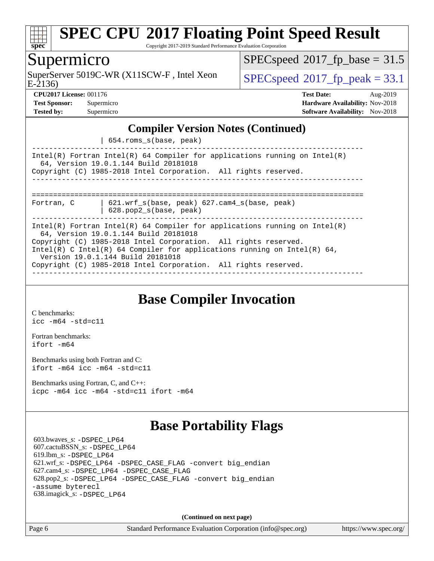

Copyright 2017-2019 Standard Performance Evaluation Corporation

### Supermicro

E-2136) SuperServer 5019C-WR (X11SCW-F, Intel Xeon  $SPEC speed@2017_fp\_peak = 33.1$ 

 $SPECspeed^{\circ}2017\_fp\_base = 31.5$  $SPECspeed^{\circ}2017\_fp\_base = 31.5$ 

**[CPU2017 License:](http://www.spec.org/auto/cpu2017/Docs/result-fields.html#CPU2017License)** 001176 **[Test Date:](http://www.spec.org/auto/cpu2017/Docs/result-fields.html#TestDate)** Aug-2019 **[Test Sponsor:](http://www.spec.org/auto/cpu2017/Docs/result-fields.html#TestSponsor)** Supermicro **[Hardware Availability:](http://www.spec.org/auto/cpu2017/Docs/result-fields.html#HardwareAvailability)** Nov-2018 **[Tested by:](http://www.spec.org/auto/cpu2017/Docs/result-fields.html#Testedby)** Supermicro **[Software Availability:](http://www.spec.org/auto/cpu2017/Docs/result-fields.html#SoftwareAvailability)** Nov-2018

#### **[Compiler Version Notes \(Continued\)](http://www.spec.org/auto/cpu2017/Docs/result-fields.html#CompilerVersionNotes)**

| 654.roms\_s(base, peak)

------------------------------------------------------------------------------ Intel(R) Fortran Intel(R) 64 Compiler for applications running on Intel(R) 64, Version 19.0.1.144 Build 20181018 Copyright (C) 1985-2018 Intel Corporation. All rights reserved. ------------------------------------------------------------------------------ ============================================================================== Fortran, C | 621.wrf\_s(base, peak) 627.cam4\_s(base, peak)

| 628.pop2\_s(base, peak)

------------------------------------------------------------------------------ Intel(R) Fortran Intel(R) 64 Compiler for applications running on Intel(R) 64, Version 19.0.1.144 Build 20181018 Copyright (C) 1985-2018 Intel Corporation. All rights reserved. Intel(R) C Intel(R) 64 Compiler for applications running on Intel(R) 64, Version 19.0.1.144 Build 20181018 Copyright (C) 1985-2018 Intel Corporation. All rights reserved.

------------------------------------------------------------------------------

## **[Base Compiler Invocation](http://www.spec.org/auto/cpu2017/Docs/result-fields.html#BaseCompilerInvocation)**

[C benchmarks](http://www.spec.org/auto/cpu2017/Docs/result-fields.html#Cbenchmarks): [icc -m64 -std=c11](http://www.spec.org/cpu2017/results/res2019q3/cpu2017-20190819-17138.flags.html#user_CCbase_intel_icc_64bit_c11_33ee0cdaae7deeeab2a9725423ba97205ce30f63b9926c2519791662299b76a0318f32ddfffdc46587804de3178b4f9328c46fa7c2b0cd779d7a61945c91cd35)

[Fortran benchmarks](http://www.spec.org/auto/cpu2017/Docs/result-fields.html#Fortranbenchmarks): [ifort -m64](http://www.spec.org/cpu2017/results/res2019q3/cpu2017-20190819-17138.flags.html#user_FCbase_intel_ifort_64bit_24f2bb282fbaeffd6157abe4f878425411749daecae9a33200eee2bee2fe76f3b89351d69a8130dd5949958ce389cf37ff59a95e7a40d588e8d3a57e0c3fd751)

[Benchmarks using both Fortran and C](http://www.spec.org/auto/cpu2017/Docs/result-fields.html#BenchmarksusingbothFortranandC): [ifort -m64](http://www.spec.org/cpu2017/results/res2019q3/cpu2017-20190819-17138.flags.html#user_CC_FCbase_intel_ifort_64bit_24f2bb282fbaeffd6157abe4f878425411749daecae9a33200eee2bee2fe76f3b89351d69a8130dd5949958ce389cf37ff59a95e7a40d588e8d3a57e0c3fd751) [icc -m64 -std=c11](http://www.spec.org/cpu2017/results/res2019q3/cpu2017-20190819-17138.flags.html#user_CC_FCbase_intel_icc_64bit_c11_33ee0cdaae7deeeab2a9725423ba97205ce30f63b9926c2519791662299b76a0318f32ddfffdc46587804de3178b4f9328c46fa7c2b0cd779d7a61945c91cd35)

[Benchmarks using Fortran, C, and C++:](http://www.spec.org/auto/cpu2017/Docs/result-fields.html#BenchmarksusingFortranCandCXX) [icpc -m64](http://www.spec.org/cpu2017/results/res2019q3/cpu2017-20190819-17138.flags.html#user_CC_CXX_FCbase_intel_icpc_64bit_4ecb2543ae3f1412ef961e0650ca070fec7b7afdcd6ed48761b84423119d1bf6bdf5cad15b44d48e7256388bc77273b966e5eb805aefd121eb22e9299b2ec9d9) [icc -m64 -std=c11](http://www.spec.org/cpu2017/results/res2019q3/cpu2017-20190819-17138.flags.html#user_CC_CXX_FCbase_intel_icc_64bit_c11_33ee0cdaae7deeeab2a9725423ba97205ce30f63b9926c2519791662299b76a0318f32ddfffdc46587804de3178b4f9328c46fa7c2b0cd779d7a61945c91cd35) [ifort -m64](http://www.spec.org/cpu2017/results/res2019q3/cpu2017-20190819-17138.flags.html#user_CC_CXX_FCbase_intel_ifort_64bit_24f2bb282fbaeffd6157abe4f878425411749daecae9a33200eee2bee2fe76f3b89351d69a8130dd5949958ce389cf37ff59a95e7a40d588e8d3a57e0c3fd751)

## **[Base Portability Flags](http://www.spec.org/auto/cpu2017/Docs/result-fields.html#BasePortabilityFlags)**

 603.bwaves\_s: [-DSPEC\\_LP64](http://www.spec.org/cpu2017/results/res2019q3/cpu2017-20190819-17138.flags.html#suite_basePORTABILITY603_bwaves_s_DSPEC_LP64) 607.cactuBSSN\_s: [-DSPEC\\_LP64](http://www.spec.org/cpu2017/results/res2019q3/cpu2017-20190819-17138.flags.html#suite_basePORTABILITY607_cactuBSSN_s_DSPEC_LP64) 619.lbm\_s: [-DSPEC\\_LP64](http://www.spec.org/cpu2017/results/res2019q3/cpu2017-20190819-17138.flags.html#suite_basePORTABILITY619_lbm_s_DSPEC_LP64) 621.wrf\_s: [-DSPEC\\_LP64](http://www.spec.org/cpu2017/results/res2019q3/cpu2017-20190819-17138.flags.html#suite_basePORTABILITY621_wrf_s_DSPEC_LP64) [-DSPEC\\_CASE\\_FLAG](http://www.spec.org/cpu2017/results/res2019q3/cpu2017-20190819-17138.flags.html#b621.wrf_s_baseCPORTABILITY_DSPEC_CASE_FLAG) [-convert big\\_endian](http://www.spec.org/cpu2017/results/res2019q3/cpu2017-20190819-17138.flags.html#user_baseFPORTABILITY621_wrf_s_convert_big_endian_c3194028bc08c63ac5d04de18c48ce6d347e4e562e8892b8bdbdc0214820426deb8554edfa529a3fb25a586e65a3d812c835984020483e7e73212c4d31a38223) 627.cam4\_s: [-DSPEC\\_LP64](http://www.spec.org/cpu2017/results/res2019q3/cpu2017-20190819-17138.flags.html#suite_basePORTABILITY627_cam4_s_DSPEC_LP64) [-DSPEC\\_CASE\\_FLAG](http://www.spec.org/cpu2017/results/res2019q3/cpu2017-20190819-17138.flags.html#b627.cam4_s_baseCPORTABILITY_DSPEC_CASE_FLAG) 628.pop2\_s: [-DSPEC\\_LP64](http://www.spec.org/cpu2017/results/res2019q3/cpu2017-20190819-17138.flags.html#suite_basePORTABILITY628_pop2_s_DSPEC_LP64) [-DSPEC\\_CASE\\_FLAG](http://www.spec.org/cpu2017/results/res2019q3/cpu2017-20190819-17138.flags.html#b628.pop2_s_baseCPORTABILITY_DSPEC_CASE_FLAG) [-convert big\\_endian](http://www.spec.org/cpu2017/results/res2019q3/cpu2017-20190819-17138.flags.html#user_baseFPORTABILITY628_pop2_s_convert_big_endian_c3194028bc08c63ac5d04de18c48ce6d347e4e562e8892b8bdbdc0214820426deb8554edfa529a3fb25a586e65a3d812c835984020483e7e73212c4d31a38223) [-assume byterecl](http://www.spec.org/cpu2017/results/res2019q3/cpu2017-20190819-17138.flags.html#user_baseFPORTABILITY628_pop2_s_assume_byterecl_7e47d18b9513cf18525430bbf0f2177aa9bf368bc7a059c09b2c06a34b53bd3447c950d3f8d6c70e3faf3a05c8557d66a5798b567902e8849adc142926523472) 638.imagick\_s: [-DSPEC\\_LP64](http://www.spec.org/cpu2017/results/res2019q3/cpu2017-20190819-17138.flags.html#suite_basePORTABILITY638_imagick_s_DSPEC_LP64)

**(Continued on next page)**

Page 6 Standard Performance Evaluation Corporation [\(info@spec.org\)](mailto:info@spec.org) <https://www.spec.org/>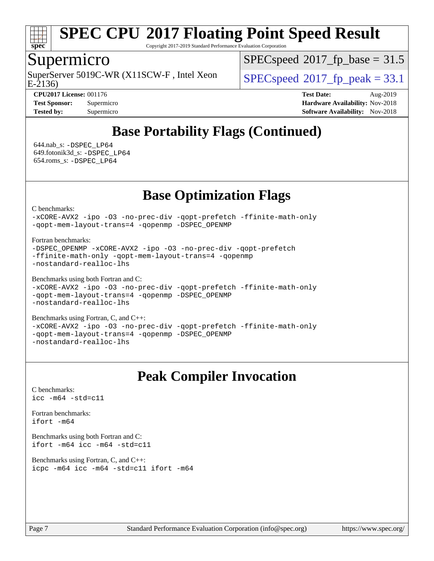

Copyright 2017-2019 Standard Performance Evaluation Corporation

### Supermicro

E-2136) SuperServer 5019C-WR (X11SCW-F, Intel Xeon  $SPEC speed^{\circ}2017$  fp\_peak = 33.1

 $SPECspeed^{\circ}2017\_fp\_base = 31.5$  $SPECspeed^{\circ}2017\_fp\_base = 31.5$ 

**[CPU2017 License:](http://www.spec.org/auto/cpu2017/Docs/result-fields.html#CPU2017License)** 001176 **[Test Date:](http://www.spec.org/auto/cpu2017/Docs/result-fields.html#TestDate)** Aug-2019 **[Test Sponsor:](http://www.spec.org/auto/cpu2017/Docs/result-fields.html#TestSponsor)** Supermicro **[Hardware Availability:](http://www.spec.org/auto/cpu2017/Docs/result-fields.html#HardwareAvailability)** Nov-2018 **[Tested by:](http://www.spec.org/auto/cpu2017/Docs/result-fields.html#Testedby)** Supermicro **Supermicro [Software Availability:](http://www.spec.org/auto/cpu2017/Docs/result-fields.html#SoftwareAvailability)** Nov-2018

# **[Base Portability Flags \(Continued\)](http://www.spec.org/auto/cpu2017/Docs/result-fields.html#BasePortabilityFlags)**

 644.nab\_s: [-DSPEC\\_LP64](http://www.spec.org/cpu2017/results/res2019q3/cpu2017-20190819-17138.flags.html#suite_basePORTABILITY644_nab_s_DSPEC_LP64) 649.fotonik3d\_s: [-DSPEC\\_LP64](http://www.spec.org/cpu2017/results/res2019q3/cpu2017-20190819-17138.flags.html#suite_basePORTABILITY649_fotonik3d_s_DSPEC_LP64) 654.roms\_s: [-DSPEC\\_LP64](http://www.spec.org/cpu2017/results/res2019q3/cpu2017-20190819-17138.flags.html#suite_basePORTABILITY654_roms_s_DSPEC_LP64)

## **[Base Optimization Flags](http://www.spec.org/auto/cpu2017/Docs/result-fields.html#BaseOptimizationFlags)**

[C benchmarks](http://www.spec.org/auto/cpu2017/Docs/result-fields.html#Cbenchmarks):

[-xCORE-AVX2](http://www.spec.org/cpu2017/results/res2019q3/cpu2017-20190819-17138.flags.html#user_CCbase_f-xCORE-AVX2) [-ipo](http://www.spec.org/cpu2017/results/res2019q3/cpu2017-20190819-17138.flags.html#user_CCbase_f-ipo) [-O3](http://www.spec.org/cpu2017/results/res2019q3/cpu2017-20190819-17138.flags.html#user_CCbase_f-O3) [-no-prec-div](http://www.spec.org/cpu2017/results/res2019q3/cpu2017-20190819-17138.flags.html#user_CCbase_f-no-prec-div) [-qopt-prefetch](http://www.spec.org/cpu2017/results/res2019q3/cpu2017-20190819-17138.flags.html#user_CCbase_f-qopt-prefetch) [-ffinite-math-only](http://www.spec.org/cpu2017/results/res2019q3/cpu2017-20190819-17138.flags.html#user_CCbase_f_finite_math_only_cb91587bd2077682c4b38af759c288ed7c732db004271a9512da14a4f8007909a5f1427ecbf1a0fb78ff2a814402c6114ac565ca162485bbcae155b5e4258871) [-qopt-mem-layout-trans=4](http://www.spec.org/cpu2017/results/res2019q3/cpu2017-20190819-17138.flags.html#user_CCbase_f-qopt-mem-layout-trans_fa39e755916c150a61361b7846f310bcdf6f04e385ef281cadf3647acec3f0ae266d1a1d22d972a7087a248fd4e6ca390a3634700869573d231a252c784941a8) [-qopenmp](http://www.spec.org/cpu2017/results/res2019q3/cpu2017-20190819-17138.flags.html#user_CCbase_qopenmp_16be0c44f24f464004c6784a7acb94aca937f053568ce72f94b139a11c7c168634a55f6653758ddd83bcf7b8463e8028bb0b48b77bcddc6b78d5d95bb1df2967) [-DSPEC\\_OPENMP](http://www.spec.org/cpu2017/results/res2019q3/cpu2017-20190819-17138.flags.html#suite_CCbase_DSPEC_OPENMP)

[Fortran benchmarks](http://www.spec.org/auto/cpu2017/Docs/result-fields.html#Fortranbenchmarks):

```
-DSPEC_OPENMP -xCORE-AVX2 -ipo -O3 -no-prec-div -qopt-prefetch
-ffinite-math-only -qopt-mem-layout-trans=4 -qopenmp
-nostandard-realloc-lhs
```
[Benchmarks using both Fortran and C](http://www.spec.org/auto/cpu2017/Docs/result-fields.html#BenchmarksusingbothFortranandC):

```
-xCORE-AVX2 -ipo -O3 -no-prec-div -qopt-prefetch -ffinite-math-only
-qopt-mem-layout-trans=4 -qopenmp -DSPEC_OPENMP
-nostandard-realloc-lhs
```
[Benchmarks using Fortran, C, and C++:](http://www.spec.org/auto/cpu2017/Docs/result-fields.html#BenchmarksusingFortranCandCXX) [-xCORE-AVX2](http://www.spec.org/cpu2017/results/res2019q3/cpu2017-20190819-17138.flags.html#user_CC_CXX_FCbase_f-xCORE-AVX2) [-ipo](http://www.spec.org/cpu2017/results/res2019q3/cpu2017-20190819-17138.flags.html#user_CC_CXX_FCbase_f-ipo) [-O3](http://www.spec.org/cpu2017/results/res2019q3/cpu2017-20190819-17138.flags.html#user_CC_CXX_FCbase_f-O3) [-no-prec-div](http://www.spec.org/cpu2017/results/res2019q3/cpu2017-20190819-17138.flags.html#user_CC_CXX_FCbase_f-no-prec-div) [-qopt-prefetch](http://www.spec.org/cpu2017/results/res2019q3/cpu2017-20190819-17138.flags.html#user_CC_CXX_FCbase_f-qopt-prefetch) [-ffinite-math-only](http://www.spec.org/cpu2017/results/res2019q3/cpu2017-20190819-17138.flags.html#user_CC_CXX_FCbase_f_finite_math_only_cb91587bd2077682c4b38af759c288ed7c732db004271a9512da14a4f8007909a5f1427ecbf1a0fb78ff2a814402c6114ac565ca162485bbcae155b5e4258871) [-qopt-mem-layout-trans=4](http://www.spec.org/cpu2017/results/res2019q3/cpu2017-20190819-17138.flags.html#user_CC_CXX_FCbase_f-qopt-mem-layout-trans_fa39e755916c150a61361b7846f310bcdf6f04e385ef281cadf3647acec3f0ae266d1a1d22d972a7087a248fd4e6ca390a3634700869573d231a252c784941a8) [-qopenmp](http://www.spec.org/cpu2017/results/res2019q3/cpu2017-20190819-17138.flags.html#user_CC_CXX_FCbase_qopenmp_16be0c44f24f464004c6784a7acb94aca937f053568ce72f94b139a11c7c168634a55f6653758ddd83bcf7b8463e8028bb0b48b77bcddc6b78d5d95bb1df2967) [-DSPEC\\_OPENMP](http://www.spec.org/cpu2017/results/res2019q3/cpu2017-20190819-17138.flags.html#suite_CC_CXX_FCbase_DSPEC_OPENMP) [-nostandard-realloc-lhs](http://www.spec.org/cpu2017/results/res2019q3/cpu2017-20190819-17138.flags.html#user_CC_CXX_FCbase_f_2003_std_realloc_82b4557e90729c0f113870c07e44d33d6f5a304b4f63d4c15d2d0f1fab99f5daaed73bdb9275d9ae411527f28b936061aa8b9c8f2d63842963b95c9dd6426b8a)

## **[Peak Compiler Invocation](http://www.spec.org/auto/cpu2017/Docs/result-fields.html#PeakCompilerInvocation)**

[C benchmarks](http://www.spec.org/auto/cpu2017/Docs/result-fields.html#Cbenchmarks): [icc -m64 -std=c11](http://www.spec.org/cpu2017/results/res2019q3/cpu2017-20190819-17138.flags.html#user_CCpeak_intel_icc_64bit_c11_33ee0cdaae7deeeab2a9725423ba97205ce30f63b9926c2519791662299b76a0318f32ddfffdc46587804de3178b4f9328c46fa7c2b0cd779d7a61945c91cd35)

[Fortran benchmarks](http://www.spec.org/auto/cpu2017/Docs/result-fields.html#Fortranbenchmarks): [ifort -m64](http://www.spec.org/cpu2017/results/res2019q3/cpu2017-20190819-17138.flags.html#user_FCpeak_intel_ifort_64bit_24f2bb282fbaeffd6157abe4f878425411749daecae9a33200eee2bee2fe76f3b89351d69a8130dd5949958ce389cf37ff59a95e7a40d588e8d3a57e0c3fd751)

[Benchmarks using both Fortran and C](http://www.spec.org/auto/cpu2017/Docs/result-fields.html#BenchmarksusingbothFortranandC): [ifort -m64](http://www.spec.org/cpu2017/results/res2019q3/cpu2017-20190819-17138.flags.html#user_CC_FCpeak_intel_ifort_64bit_24f2bb282fbaeffd6157abe4f878425411749daecae9a33200eee2bee2fe76f3b89351d69a8130dd5949958ce389cf37ff59a95e7a40d588e8d3a57e0c3fd751) [icc -m64 -std=c11](http://www.spec.org/cpu2017/results/res2019q3/cpu2017-20190819-17138.flags.html#user_CC_FCpeak_intel_icc_64bit_c11_33ee0cdaae7deeeab2a9725423ba97205ce30f63b9926c2519791662299b76a0318f32ddfffdc46587804de3178b4f9328c46fa7c2b0cd779d7a61945c91cd35)

[Benchmarks using Fortran, C, and C++:](http://www.spec.org/auto/cpu2017/Docs/result-fields.html#BenchmarksusingFortranCandCXX) [icpc -m64](http://www.spec.org/cpu2017/results/res2019q3/cpu2017-20190819-17138.flags.html#user_CC_CXX_FCpeak_intel_icpc_64bit_4ecb2543ae3f1412ef961e0650ca070fec7b7afdcd6ed48761b84423119d1bf6bdf5cad15b44d48e7256388bc77273b966e5eb805aefd121eb22e9299b2ec9d9) [icc -m64 -std=c11](http://www.spec.org/cpu2017/results/res2019q3/cpu2017-20190819-17138.flags.html#user_CC_CXX_FCpeak_intel_icc_64bit_c11_33ee0cdaae7deeeab2a9725423ba97205ce30f63b9926c2519791662299b76a0318f32ddfffdc46587804de3178b4f9328c46fa7c2b0cd779d7a61945c91cd35) [ifort -m64](http://www.spec.org/cpu2017/results/res2019q3/cpu2017-20190819-17138.flags.html#user_CC_CXX_FCpeak_intel_ifort_64bit_24f2bb282fbaeffd6157abe4f878425411749daecae9a33200eee2bee2fe76f3b89351d69a8130dd5949958ce389cf37ff59a95e7a40d588e8d3a57e0c3fd751)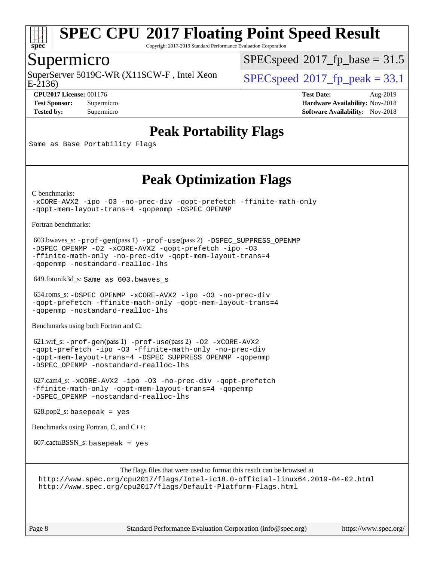

Copyright 2017-2019 Standard Performance Evaluation Corporation

### Supermicro

SuperServer 5019C-WR (X11SCW-F, Intel Xeon  $SPEC speed^{\circ}2017$  fp\_peak = 33.1

 $SPECspeed^{\circ}2017\_fp\_base = 31.5$  $SPECspeed^{\circ}2017\_fp\_base = 31.5$ 

E-2136)

**[CPU2017 License:](http://www.spec.org/auto/cpu2017/Docs/result-fields.html#CPU2017License)** 001176 **[Test Date:](http://www.spec.org/auto/cpu2017/Docs/result-fields.html#TestDate)** Aug-2019 **[Test Sponsor:](http://www.spec.org/auto/cpu2017/Docs/result-fields.html#TestSponsor)** Supermicro **[Hardware Availability:](http://www.spec.org/auto/cpu2017/Docs/result-fields.html#HardwareAvailability)** Nov-2018 **[Tested by:](http://www.spec.org/auto/cpu2017/Docs/result-fields.html#Testedby)** Supermicro **Supermicro [Software Availability:](http://www.spec.org/auto/cpu2017/Docs/result-fields.html#SoftwareAvailability)** Nov-2018

## **[Peak Portability Flags](http://www.spec.org/auto/cpu2017/Docs/result-fields.html#PeakPortabilityFlags)**

Same as Base Portability Flags

## **[Peak Optimization Flags](http://www.spec.org/auto/cpu2017/Docs/result-fields.html#PeakOptimizationFlags)**

[C benchmarks](http://www.spec.org/auto/cpu2017/Docs/result-fields.html#Cbenchmarks):

```
-xCORE-AVX2 -ipo -O3 -no-prec-div -qopt-prefetch -ffinite-math-only
-qopt-mem-layout-trans=4 -qopenmp -DSPEC_OPENMP
```
[Fortran benchmarks](http://www.spec.org/auto/cpu2017/Docs/result-fields.html#Fortranbenchmarks):

```
 603.bwaves_s: -prof-gen(pass 1) -prof-use(pass 2) -DSPEC_SUPPRESS_OPENMP
-DSPEC_OPENMP -O2 -xCORE-AVX2 -qopt-prefetch -ipo -O3
-ffinite-math-only -no-prec-div -qopt-mem-layout-trans=4
-qopenmp -nostandard-realloc-lhs
```
649.fotonik3d\_s: Same as 603.bwaves\_s

```
 654.roms_s: -DSPEC_OPENMP -xCORE-AVX2 -ipo -O3 -no-prec-div
-qopt-prefetch -ffinite-math-only -qopt-mem-layout-trans=4
-qopenmp -nostandard-realloc-lhs
```
[Benchmarks using both Fortran and C](http://www.spec.org/auto/cpu2017/Docs/result-fields.html#BenchmarksusingbothFortranandC):

```
 621.wrf_s: -prof-gen(pass 1) -prof-use(pass 2) -O2 -xCORE-AVX2
-qopt-prefetch -ipo -O3 -ffinite-math-only -no-prec-div
-qopt-mem-layout-trans=4 -DSPEC_SUPPRESS_OPENMP -qopenmp
-DSPEC_OPENMP -nostandard-realloc-lhs
```
 627.cam4\_s: [-xCORE-AVX2](http://www.spec.org/cpu2017/results/res2019q3/cpu2017-20190819-17138.flags.html#user_peakCOPTIMIZEFOPTIMIZE627_cam4_s_f-xCORE-AVX2) [-ipo](http://www.spec.org/cpu2017/results/res2019q3/cpu2017-20190819-17138.flags.html#user_peakCOPTIMIZEFOPTIMIZE627_cam4_s_f-ipo) [-O3](http://www.spec.org/cpu2017/results/res2019q3/cpu2017-20190819-17138.flags.html#user_peakCOPTIMIZEFOPTIMIZE627_cam4_s_f-O3) [-no-prec-div](http://www.spec.org/cpu2017/results/res2019q3/cpu2017-20190819-17138.flags.html#user_peakCOPTIMIZEFOPTIMIZE627_cam4_s_f-no-prec-div) [-qopt-prefetch](http://www.spec.org/cpu2017/results/res2019q3/cpu2017-20190819-17138.flags.html#user_peakCOPTIMIZEFOPTIMIZE627_cam4_s_f-qopt-prefetch) [-ffinite-math-only](http://www.spec.org/cpu2017/results/res2019q3/cpu2017-20190819-17138.flags.html#user_peakCOPTIMIZEFOPTIMIZE627_cam4_s_f_finite_math_only_cb91587bd2077682c4b38af759c288ed7c732db004271a9512da14a4f8007909a5f1427ecbf1a0fb78ff2a814402c6114ac565ca162485bbcae155b5e4258871) [-qopt-mem-layout-trans=4](http://www.spec.org/cpu2017/results/res2019q3/cpu2017-20190819-17138.flags.html#user_peakCOPTIMIZEFOPTIMIZE627_cam4_s_f-qopt-mem-layout-trans_fa39e755916c150a61361b7846f310bcdf6f04e385ef281cadf3647acec3f0ae266d1a1d22d972a7087a248fd4e6ca390a3634700869573d231a252c784941a8) [-qopenmp](http://www.spec.org/cpu2017/results/res2019q3/cpu2017-20190819-17138.flags.html#user_peakCOPTIMIZEFOPTIMIZE627_cam4_s_qopenmp_16be0c44f24f464004c6784a7acb94aca937f053568ce72f94b139a11c7c168634a55f6653758ddd83bcf7b8463e8028bb0b48b77bcddc6b78d5d95bb1df2967) [-DSPEC\\_OPENMP](http://www.spec.org/cpu2017/results/res2019q3/cpu2017-20190819-17138.flags.html#suite_peakCOPTIMIZEFOPTIMIZE627_cam4_s_DSPEC_OPENMP) [-nostandard-realloc-lhs](http://www.spec.org/cpu2017/results/res2019q3/cpu2017-20190819-17138.flags.html#user_peakEXTRA_FOPTIMIZE627_cam4_s_f_2003_std_realloc_82b4557e90729c0f113870c07e44d33d6f5a304b4f63d4c15d2d0f1fab99f5daaed73bdb9275d9ae411527f28b936061aa8b9c8f2d63842963b95c9dd6426b8a)

628.pop2\_s: basepeak = yes

[Benchmarks using Fortran, C, and C++:](http://www.spec.org/auto/cpu2017/Docs/result-fields.html#BenchmarksusingFortranCandCXX)

 $607.cactuBSSN_s$ : basepeak = yes

[The flags files that were used to format this result can be browsed at](tmsearch) <http://www.spec.org/cpu2017/flags/Intel-ic18.0-official-linux64.2019-04-02.html>

<http://www.spec.org/cpu2017/flags/Default-Platform-Flags.html>